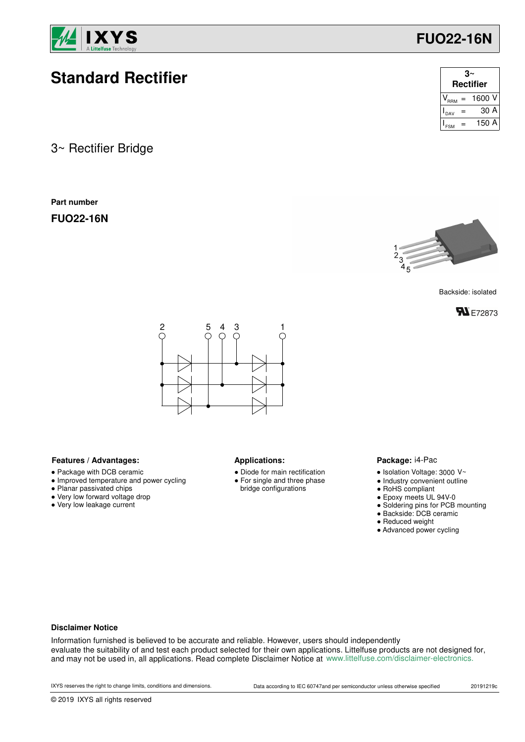

# **Standard Rectifier**

3~ Rectifier Bridge

**Part number**

**FUO22-16N**

| <b>Rectifier</b> |     |        |  |  |
|------------------|-----|--------|--|--|
|                  | $=$ | 1600 V |  |  |
| DAV              |     | 30 A   |  |  |
|                  |     | 150 A  |  |  |

**FUO22-16N**



Backside: isolated





### Features / Advantages: **All Applications: Applications:**

- Package with DCB ceramic
- Improved temperature and power cycling
- Planar passivated chips
- Very low forward voltage drop
- Very low leakage current

- Diode for main rectification ● For single and three phase
- bridge configurations

#### Package: i4-Pac

- $\bullet$  Isolation Voltage: 3000 V~
- Industry convenient outline
- RoHS compliant
- Epoxy meets UL 94V-0
- Soldering pins for PCB mounting
- Backside: DCB ceramic
- Reduced weight
- Advanced power cycling

#### **Disclaimer Notice**

Information furnished is believed to be accurate and reliable. However, users should independently evaluate the suitability of and test each product selected for their own applications. Littelfuse products are not designed for, and may not be used in, all applications. Read complete Disclaimer Notice at www.littelfuse.com/disclaimer-electronics.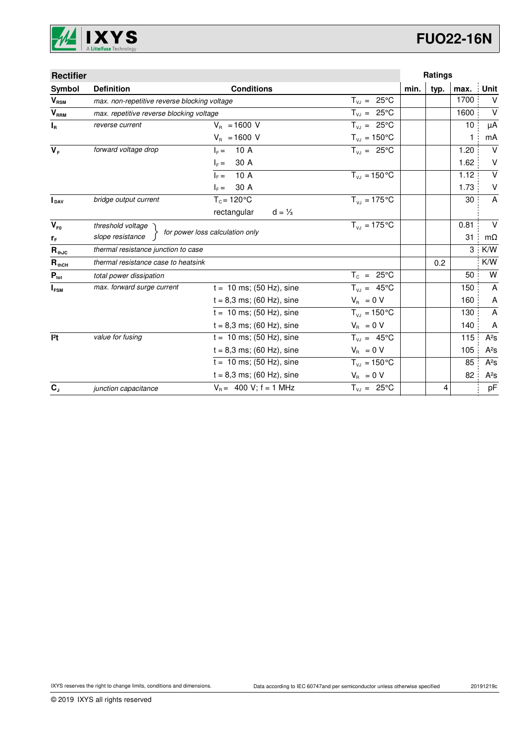

| <b>Rectifier</b> |                                              |                                  |                            | Ratings |      |              |                         |
|------------------|----------------------------------------------|----------------------------------|----------------------------|---------|------|--------------|-------------------------|
| Symbol           | <b>Definition</b>                            | <b>Conditions</b>                |                            | min.    | typ. | max.         | Unit                    |
| $V_{RSM}$        | max. non-repetitive reverse blocking voltage |                                  | $T_{V,I} = 25^{\circ}C$    |         |      | 1700         | $\vee$                  |
| V <sub>RRM</sub> | max. repetitive reverse blocking voltage     |                                  | $T_{V,I} = 25^{\circ}C$    |         |      | 1600         | $\vee$                  |
| $I_R$            | reverse current                              | $V_{B} = 1600 V$                 | $T_{VJ} = 25^{\circ}C$     |         |      | 10           | μA                      |
|                  |                                              | $V_{\rm B} = 1600$ V             | $T_{\nu J} = 150^{\circ}C$ |         |      | $\mathbf{1}$ | mA                      |
| $V_F$            | forward voltage drop                         | 10 A<br>$Ic =$                   | $T_{v,i} = 25^{\circ}C$    |         |      | 1.20         | $\vee$                  |
|                  |                                              | 30 A<br>$I_F =$                  |                            |         |      | 1.62         | V                       |
|                  |                                              | 10 A<br>$Ic =$                   | $T_{VJ} = 150 °C$          |         |      | 1.12         | $\overline{\mathsf{v}}$ |
|                  |                                              | 30 A<br>$I_F =$                  |                            |         |      | 1.73         | V                       |
| <b>I</b> pay     | bridge output current                        | $T_c = 120$ °C                   | $T_{V1} = 175^{\circ}C$    |         |      | 30           | A                       |
|                  |                                              | rectangular<br>$d = \frac{1}{3}$ |                            |         |      |              |                         |
| $V_{F0}$         | threshold voltage                            |                                  | $T_{V,1} = 175^{\circ}C$   |         |      | 0.81         | $\vee$                  |
| $r_F$            | slope resistance                             | for power loss calculation only  |                            |         |      | 31           | $m\Omega$               |
| $R_{thJC}$       | thermal resistance junction to case          |                                  |                            |         |      | 3            | K/W                     |
| $R_{thCH}$       | thermal resistance case to heatsink          |                                  |                            |         | 0.2  |              | K/W                     |
| $P_{\text{tot}}$ | total power dissipation                      |                                  | $T_c = 25^{\circ}C$        |         |      | 50           | W                       |
| $I_{FSM}$        | max. forward surge current                   | $t = 10$ ms; (50 Hz), sine       | $T_{VJ} = 45^{\circ}C$     |         |      | 150          | A                       |
|                  |                                              | $t = 8,3$ ms; (60 Hz), sine      | $V_R = 0 V$                |         |      | 160          | A                       |
|                  |                                              | $t = 10$ ms; (50 Hz), sine       | $T_{VJ} = 150^{\circ}C$    |         |      | 130          | A                       |
|                  |                                              | $t = 8,3$ ms; (60 Hz), sine      | $V_{\rm R} = 0 V$          |         |      | 140          | A                       |
| 12t              | value for fusing                             | $t = 10$ ms; (50 Hz), sine       | $T_{V,1} = 45^{\circ}C$    |         |      | 115          | $A^2S$                  |
|                  |                                              | $t = 8,3$ ms; (60 Hz), sine      | $V_{\rm R} = 0 V$          |         |      | 105          | $A^2S$                  |
|                  |                                              | $t = 10$ ms; (50 Hz), sine       | $T_{VJ} = 150^{\circ}C$    |         |      | 85           | $A^2S$                  |
|                  |                                              | $t = 8.3$ ms; (60 Hz), sine      | $V_{\rm B} = 0 V$          |         |      | 82           | $A^2S$                  |
| $C_{J}$          | junction capacitance                         | $V_B = 400 V$ ; f = 1 MHz        | $T_{V,1} = 25^{\circ}C$    |         | 4    |              | pF                      |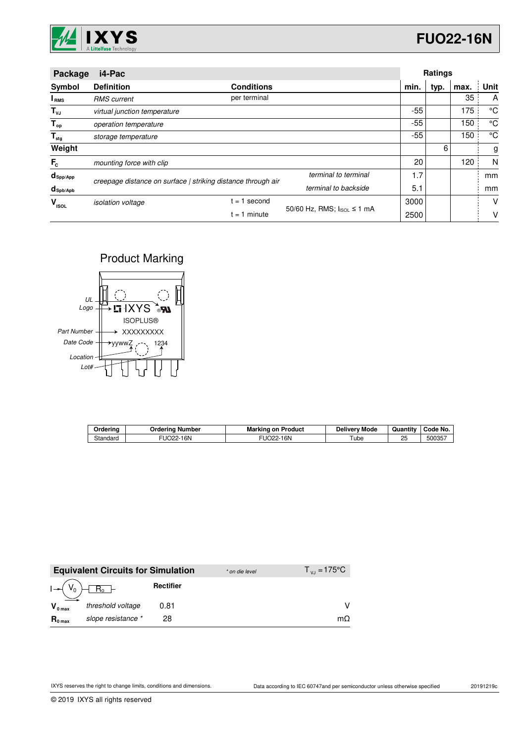

| Package                 | i4-Pac                                                       |                   |                            |       | Ratings |      |             |
|-------------------------|--------------------------------------------------------------|-------------------|----------------------------|-------|---------|------|-------------|
| Symbol                  | <b>Definition</b>                                            | <b>Conditions</b> |                            | min.  | typ.    | max. | Unit        |
| I <sub>RMS</sub>        | <b>RMS</b> current                                           | per terminal      |                            |       |         | 35   | A           |
| $T_{\nu J}$             | virtual junction temperature                                 |                   |                            | -55   |         | 175  | °C          |
| $T_{op}$                | operation temperature                                        |                   |                            | $-55$ |         | 150  | $^{\circ}C$ |
| $\mathsf{T}_{\sf{stg}}$ | storage temperature                                          |                   |                            | $-55$ |         | 150  | $^{\circ}C$ |
| Weight                  |                                                              |                   |                            |       | 6       |      | g           |
| $F_c$                   | mounting force with clip                                     |                   |                            | 20    |         | 120  | N           |
| $d_{\mathsf{Spp/App}}$  | creepage distance on surface   striking distance through air |                   | terminal to terminal       | 1.7   |         |      | mm          |
| $d_{\text{Spb/Apb}}$    |                                                              |                   | terminal to backside       |       |         |      | mm          |
| v<br><b>ISOL</b>        | <i>isolation</i> voltage                                     | second<br>$= 1$   |                            | 3000  |         |      | V           |
|                         |                                                              | $= 1$ minute      | 50/60 Hz, RMS; IsoL ≤ 1 mA | 2500  |         |      | v           |

### Product Marking



| Orderina | Ordering Number | <b>Marking on Product</b> | <b>Delivery Mode</b> | Quantity | Code No. |
|----------|-----------------|---------------------------|----------------------|----------|----------|
| Standard | 16N<br>JO22-    | 16N<br>O <sub>22</sub>    | ube                  | 25       | 500357   |

|                     | <b>Equivalent Circuits for Simulation</b> |           | * on die level | $T_{V1} = 175^{\circ}C$ |
|---------------------|-------------------------------------------|-----------|----------------|-------------------------|
|                     | $I \rightarrow (V_0) + R_0$               | Rectifier |                |                         |
| $V_{0 \text{ max}}$ | threshold voltage                         | 0.81      |                |                         |
| $R_{0 \text{ max}}$ | slope resistance *                        | 28        |                | mΩ                      |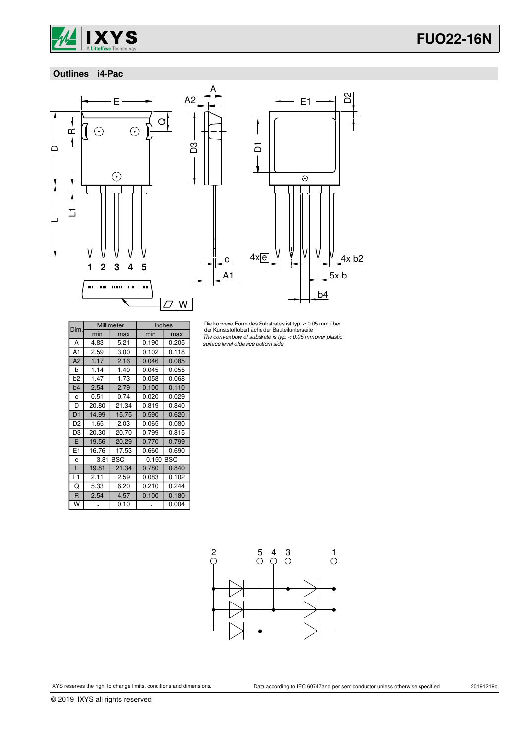

## **FUO22-16N**

### **Outlines i4-Pac**



D3



Die konvexe Form des Substrates ist typ. < 0.05 mm über der Kunststoffoberflächeder Bauteilunterseite The convexbow of substrate is typ. < 0.05 mmover plastic surface level ofdevice bottom side

| Dim.           |       | Millimeter | Inches    |       |
|----------------|-------|------------|-----------|-------|
|                | min   | max        | min       | max   |
| А              | 4.83  | 5.21       | 0.190     | 0.205 |
| A1             | 2.59  | 3.00       | 0.102     | 0.118 |
| A2             | 1.17  | 2.16       | 0.046     | 0.085 |
| b              | 1.14  | 1.40       | 0.045     | 0.055 |
| b2             | 1.47  | 1.73       | 0.058     | 0.068 |
| b <sub>4</sub> | 2.54  | 2.79       | 0.100     | 0.110 |
| C              | 0.51  | 0.74       | 0.020     | 0.029 |
| D              | 20.80 | 21.34      | 0.819     | 0.840 |
| D <sub>1</sub> | 14.99 | 15.75      | 0.590     | 0.620 |
| D <sub>2</sub> | 1.65  | 2.03       | 0.065     | 0.080 |
| D3             | 20.30 | 20.70      | 0.799     | 0.815 |
| E              | 19.56 | 20.29      | 0.770     | 0.799 |
| E1             | 16.76 | 17.53      | 0.660     | 0.690 |
| e              | 3.81  | BSC        | 0.150 BSC |       |
| L              | 19.81 | 21.34      | 0.780     | 0.840 |
| L1             | 2.11  | 2.59       | 0.083     | 0.102 |
| Q              | 5.33  | 6.20       | 0.210     | 0.244 |
| R              | 2.54  | 4.57       | 0.100     | 0.180 |
| W              |       | 0.10       |           | 0.004 |